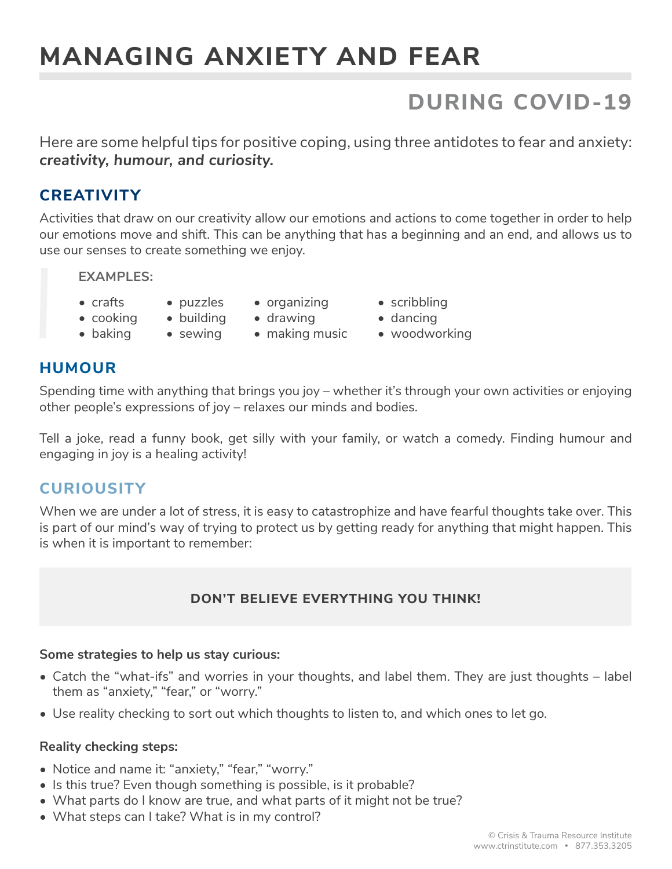# **MANAGING ANXIETY AND FEAR**

# **DURING COVID-19**

Here are some helpful tips for positive coping, using three antidotes to fear and anxiety: *creativity, humour, and curiosity.*

### **CREATIVITY**

Activities that draw on our creativity allow our emotions and actions to come together in order to help our emotions move and shift. This can be anything that has a beginning and an end, and allows us to use our senses to create something we enjoy.

**EXAMPLES:**

- crafts
	- puzzles
- organizing
- drawing

• making music

• scribbling

- cooking
- sewing

• dancing

- baking
- 

• building

• woodworking

#### **HUMOUR**

Spending time with anything that brings you joy – whether it's through your own activities or enjoying other people's expressions of joy – relaxes our minds and bodies.

Tell a joke, read a funny book, get silly with your family, or watch a comedy. Finding humour and engaging in joy is a healing activity!

#### **CURIOUSITY**

When we are under a lot of stress, it is easy to catastrophize and have fearful thoughts take over. This is part of our mind's way of trying to protect us by getting ready for anything that might happen. This is when it is important to remember:

#### **DON'T BELIEVE EVERYTHING YOU THINK!**

#### **Some strategies to help us stay curious:**

- Catch the "what-ifs" and worries in your thoughts, and label them. They are just thoughts label them as "anxiety," "fear," or "worry."
- Use reality checking to sort out which thoughts to listen to, and which ones to let go.

#### **Reality checking steps:**

- Notice and name it: "anxiety," "fear," "worry."
- Is this true? Even though something is possible, is it probable?
- What parts do I know are true, and what parts of it might not be true?
- What steps can I take? What is in my control?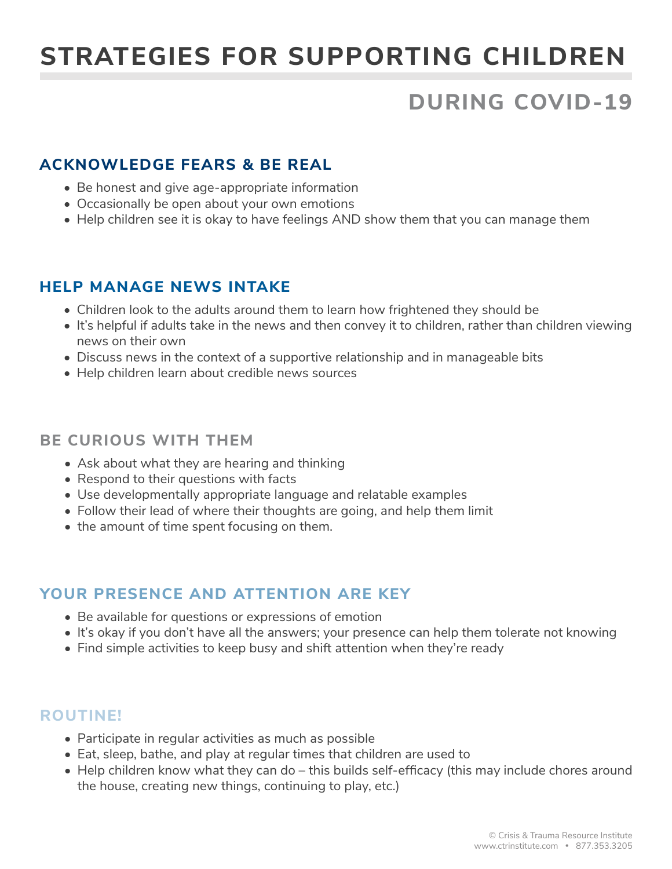# **STRATEGIES FOR SUPPORTING CHILDREN**

# **DURING COVID-19**

## **ACKNOWLEDGE FEARS & BE REAL**

- Be honest and give age-appropriate information
- Occasionally be open about your own emotions
- Help children see it is okay to have feelings AND show them that you can manage them

#### **HELP MANAGE NEWS INTAKE**

- Children look to the adults around them to learn how frightened they should be
- It's helpful if adults take in the news and then convey it to children, rather than children viewing news on their own
- Discuss news in the context of a supportive relationship and in manageable bits
- Help children learn about credible news sources

#### **BE CURIOUS WITH THEM**

- Ask about what they are hearing and thinking
- Respond to their questions with facts
- Use developmentally appropriate language and relatable examples
- Follow their lead of where their thoughts are going, and help them limit
- the amount of time spent focusing on them.

#### **YOUR PRESENCE AND ATTENTION ARE KEY**

- Be available for questions or expressions of emotion
- It's okay if you don't have all the answers; your presence can help them tolerate not knowing
- Find simple activities to keep busy and shift attention when they're ready

#### **ROUTINE!**

- Participate in regular activities as much as possible
- Eat, sleep, bathe, and play at regular times that children are used to
- Help children know what they can do this builds self-efficacy (this may include chores around the house, creating new things, continuing to play, etc.)